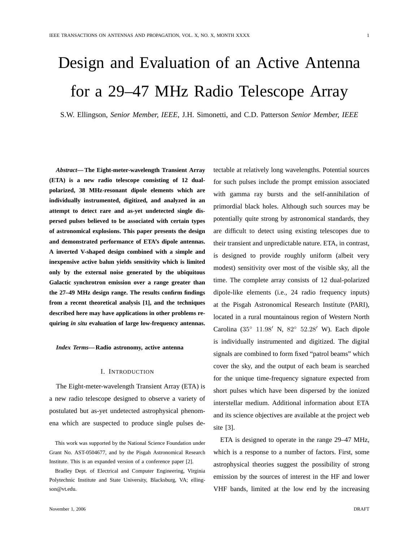# Design and Evaluation of an Active Antenna for a 29–47 MHz Radio Telescope Array

S.W. Ellingson, *Senior Member, IEEE*, J.H. Simonetti, and C.D. Patterson *Senior Member, IEEE*

*Abstract***— The Eight-meter-wavelength Transient Array (ETA) is a new radio telescope consisting of 12 dualpolarized, 38 MHz-resonant dipole elements which are individually instrumented, digitized, and analyzed in an attempt to detect rare and as-yet undetected single dispersed pulses believed to be associated with certain types of astronomical explosions. This paper presents the design and demonstrated performance of ETA's dipole antennas. A inverted V-shaped design combined with a simple and inexpensive active balun yields sensitivity which is limited only by the external noise generated by the ubiquitous Galactic synchrotron emission over a range greater than the 27–49 MHz design range. The results confirm findings from a recent theoretical analysis [1], and the techniques described here may have applications in other problems requiring** *in situ* **evaluation of large low-frequency antennas.**

*Index Terms***— Radio astronomy, active antenna**

#### I. INTRODUCTION

The Eight-meter-wavelength Transient Array (ETA) is a new radio telescope designed to observe a variety of postulated but as-yet undetected astrophysical phenomena which are suspected to produce single pulses de-

This work was supported by the National Science Foundation under Grant No. AST-0504677, and by the Pisgah Astronomical Research Institute. This is an expanded version of a conference paper [2].

Bradley Dept. of Electrical and Computer Engineering, Virginia Polytechnic Institute and State University, Blacksburg, VA; ellingson@vt.edu.

tectable at relatively long wavelengths. Potential sources for such pulses include the prompt emission associated with gamma ray bursts and the self-annihilation of primordial black holes. Although such sources may be potentially quite strong by astronomical standards, they are difficult to detect using existing telescopes due to their transient and unpredictable nature. ETA, in contrast, is designed to provide roughly uniform (albeit very modest) sensitivity over most of the visible sky, all the time. The complete array consists of 12 dual-polarized dipole-like elements (i.e., 24 radio frequency inputs) at the Pisgah Astronomical Research Institute (PARI), located in a rural mountainous region of Western North Carolina (35° 11.98' N, 82° 52.28' W). Each dipole is individually instrumented and digitized. The digital signals are combined to form fixed "patrol beams" which cover the sky, and the output of each beam is searched for the unique time-frequency signature expected from short pulses which have been dispersed by the ionized interstellar medium. Additional information about ETA and its science objectives are available at the project web site [3].

ETA is designed to operate in the range 29–47 MHz, which is a response to a number of factors. First, some astrophysical theories suggest the possibility of strong emission by the sources of interest in the HF and lower VHF bands, limited at the low end by the increasing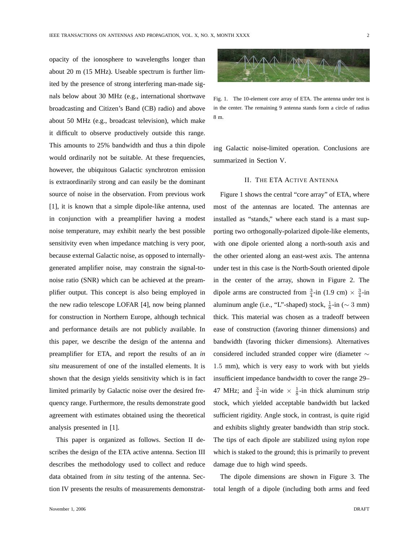opacity of the ionosphere to wavelengths longer than about 20 m (15 MHz). Useable spectrum is further limited by the presence of strong interfering man-made signals below about 30 MHz (e.g., international shortwave broadcasting and Citizen's Band (CB) radio) and above about 50 MHz (e.g., broadcast television), which make it difficult to observe productively outside this range. This amounts to 25% bandwidth and thus a thin dipole would ordinarily not be suitable. At these frequencies, however, the ubiquitous Galactic synchrotron emission is extraordinarily strong and can easily be the dominant source of noise in the observation. From previous work [1], it is known that a simple dipole-like antenna, used in conjunction with a preamplifier having a modest noise temperature, may exhibit nearly the best possible sensitivity even when impedance matching is very poor, because external Galactic noise, as opposed to internallygenerated amplifier noise, may constrain the signal-tonoise ratio (SNR) which can be achieved at the preamplifier output. This concept is also being employed in the new radio telescope LOFAR [4], now being planned for construction in Northern Europe, although technical and performance details are not publicly available. In this paper, we describe the design of the antenna and preamplifier for ETA, and report the results of an *in situ* measurement of one of the installed elements. It is shown that the design yields sensitivity which is in fact limited primarily by Galactic noise over the desired frequency range. Furthermore, the results demonstrate good agreement with estimates obtained using the theoretical analysis presented in [1].

This paper is organized as follows. Section II describes the design of the ETA active antenna. Section III describes the methodology used to collect and reduce data obtained from *in situ* testing of the antenna. Section IV presents the results of measurements demonstrat-



Fig. 1. The 10-element core array of ETA. The antenna under test is in the center. The remaining 9 antenna stands form a circle of radius 8 m.

ing Galactic noise-limited operation. Conclusions are summarized in Section V.

## II. THE ETA ACTIVE ANTENNA

Figure 1 shows the central "core array" of ETA, where most of the antennas are located. The antennas are installed as "stands," where each stand is a mast supporting two orthogonally-polarized dipole-like elements, with one dipole oriented along a north-south axis and the other oriented along an east-west axis. The antenna under test in this case is the North-South oriented dipole in the center of the array, shown in Figure 2. The dipole arms are constructed from  $\frac{3}{4}$ -in (1.9 cm)  $\times \frac{3}{4}$ -in aluminum angle (i.e., "L"-shaped) stock,  $\frac{1}{8}$ -in ( $\sim 3$  mm) thick. This material was chosen as a tradeoff between ease of construction (favoring thinner dimensions) and bandwidth (favoring thicker dimensions). Alternatives considered included stranded copper wire (diameter ∼ 1.5 mm), which is very easy to work with but yields insufficient impedance bandwidth to cover the range 29– 47 MHz; and  $\frac{3}{4}$ -in wide  $\times$   $\frac{1}{8}$ -in thick aluminum strip stock, which yielded acceptable bandwidth but lacked sufficient rigidity. Angle stock, in contrast, is quite rigid and exhibits slightly greater bandwidth than strip stock. The tips of each dipole are stabilized using nylon rope which is staked to the ground; this is primarily to prevent damage due to high wind speeds.

The dipole dimensions are shown in Figure 3. The total length of a dipole (including both arms and feed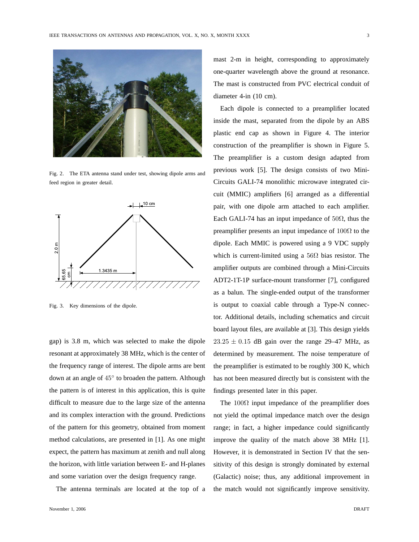

Fig. 2. The ETA antenna stand under test, showing dipole arms and feed region in greater detail.



Fig. 3. Key dimensions of the dipole.

gap) is 3.8 m, which was selected to make the dipole resonant at approximately 38 MHz, which is the center of the frequency range of interest. The dipole arms are bent down at an angle of  $45^{\circ}$  to broaden the pattern. Although the pattern is of interest in this application, this is quite difficult to measure due to the large size of the antenna and its complex interaction with the ground. Predictions of the pattern for this geometry, obtained from moment method calculations, are presented in [1]. As one might expect, the pattern has maximum at zenith and null along the horizon, with little variation between E- and H-planes and some variation over the design frequency range.

The antenna terminals are located at the top of a

mast 2-m in height, corresponding to approximately one-quarter wavelength above the ground at resonance. The mast is constructed from PVC electrical conduit of diameter 4-in (10 cm).

Each dipole is connected to a preamplifier located inside the mast, separated from the dipole by an ABS plastic end cap as shown in Figure 4. The interior construction of the preamplifier is shown in Figure 5. The preamplifier is a custom design adapted from previous work [5]. The design consists of two Mini-Circuits GALI-74 monolithic microwave integrated circuit (MMIC) amplifiers [6] arranged as a differential pair, with one dipole arm attached to each amplifier. Each GALI-74 has an input impedance of  $50\Omega$ , thus the preamplifier presents an input impedance of  $100\Omega$  to the dipole. Each MMIC is powered using a 9 VDC supply which is current-limited using a  $56\Omega$  bias resistor. The amplifier outputs are combined through a Mini-Circuits ADT2-1T-1P surface-mount transformer [7], configured as a balun. The single-ended output of the transformer is output to coaxial cable through a Type-N connector. Additional details, including schematics and circuit board layout files, are available at [3]. This design yields  $23.25 \pm 0.15$  dB gain over the range 29–47 MHz, as determined by measurement. The noise temperature of the preamplifier is estimated to be roughly 300 K, which has not been measured directly but is consistent with the findings presented later in this paper.

The  $100\Omega$  input impedance of the preamplifier does not yield the optimal impedance match over the design range; in fact, a higher impedance could significantly improve the quality of the match above 38 MHz [1]. However, it is demonstrated in Section IV that the sensitivity of this design is strongly dominated by external (Galactic) noise; thus, any additional improvement in the match would not significantly improve sensitivity.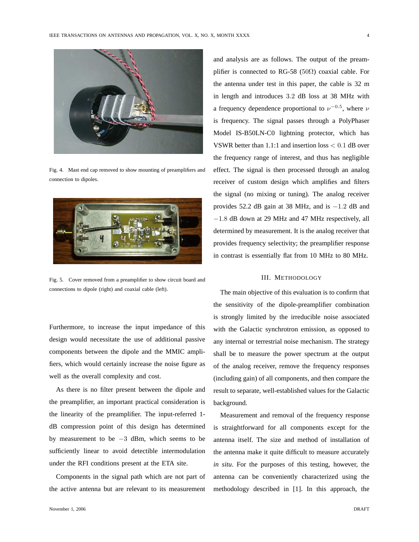

Fig. 4. Mast end cap removed to show mounting of preamplifiers and connection to dipoles.



Fig. 5. Cover removed from a preamplifier to show circuit board and connections to dipole (right) and coaxial cable (left).

Furthermore, to increase the input impedance of this design would necessitate the use of additional passive components between the dipole and the MMIC amplifiers, which would certainly increase the noise figure as well as the overall complexity and cost.

As there is no filter present between the dipole and the preamplifier, an important practical consideration is the linearity of the preamplifier. The input-referred 1 dB compression point of this design has determined by measurement to be −3 dBm, which seems to be sufficiently linear to avoid detectible intermodulation under the RFI conditions present at the ETA site.

Components in the signal path which are not part of the active antenna but are relevant to its measurement

and analysis are as follows. The output of the preamplifier is connected to RG-58 (50 $\Omega$ ) coaxial cable. For the antenna under test in this paper, the cable is 32 m in length and introduces 3.2 dB loss at 38 MHz with a frequency dependence proportional to  $\nu^{-0.5}$ , where  $\nu$ is frequency. The signal passes through a PolyPhaser Model IS-B50LN-C0 lightning protector, which has VSWR better than 1.1:1 and insertion loss < 0.1 dB over the frequency range of interest, and thus has negligible effect. The signal is then processed through an analog receiver of custom design which amplifies and filters the signal (no mixing or tuning). The analog receiver provides 52.2 dB gain at 38 MHz, and is −1.2 dB and −1.8 dB down at 29 MHz and 47 MHz respectively, all determined by measurement. It is the analog receiver that provides frequency selectivity; the preamplifier response in contrast is essentially flat from 10 MHz to 80 MHz.

#### III. METHODOLOGY

The main objective of this evaluation is to confirm that the sensitivity of the dipole-preamplifier combination is strongly limited by the irreducible noise associated with the Galactic synchrotron emission, as opposed to any internal or terrestrial noise mechanism. The strategy shall be to measure the power spectrum at the output of the analog receiver, remove the frequency responses (including gain) of all components, and then compare the result to separate, well-established values for the Galactic background.

Measurement and removal of the frequency response is straightforward for all components except for the antenna itself. The size and method of installation of the antenna make it quite difficult to measure accurately *in situ*. For the purposes of this testing, however, the antenna can be conveniently characterized using the methodology described in [1]. In this approach, the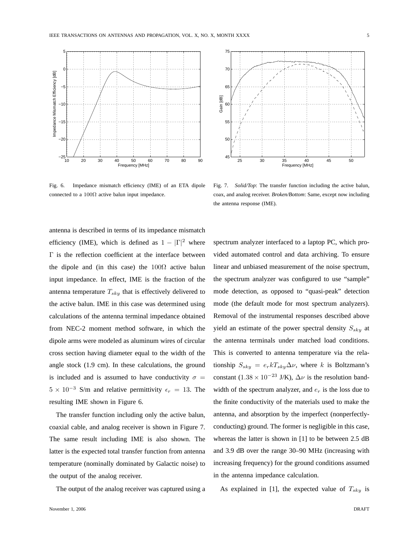

Fig. 6. Impedance mismatch efficiency (IME) of an ETA dipole connected to a  $100\Omega$  active balun input impedance.



Fig. 7. *Solid/Top*: The transfer function including the active balun, coax, and analog receiver. *Broken/Bottom*: Same, except now including the antenna response (IME).

antenna is described in terms of its impedance mismatch efficiency (IME), which is defined as  $1 - |\Gamma|^2$  where Γ is the reflection coefficient at the interface between the dipole and (in this case) the  $100\Omega$  active balun input impedance. In effect, IME is the fraction of the antenna temperature  $T_{sky}$  that is effectively delivered to the active balun. IME in this case was determined using calculations of the antenna terminal impedance obtained from NEC-2 moment method software, in which the dipole arms were modeled as aluminum wires of circular cross section having diameter equal to the width of the angle stock (1.9 cm). In these calculations, the ground is included and is assumed to have conductivity  $\sigma =$  $5 \times 10^{-3}$  S/m and relative permittivity  $\epsilon_r = 13$ . The resulting IME shown in Figure 6.

The transfer function including only the active balun, coaxial cable, and analog receiver is shown in Figure 7. The same result including IME is also shown. The latter is the expected total transfer function from antenna temperature (nominally dominated by Galactic noise) to the output of the analog receiver.

The output of the analog receiver was captured using a

November 1, 2006 DRAFT

spectrum analyzer interfaced to a laptop PC, which provided automated control and data archiving. To ensure linear and unbiased measurement of the noise spectrum, the spectrum analyzer was configured to use "sample" mode detection, as opposed to "quasi-peak" detection mode (the default mode for most spectrum analyzers). Removal of the instrumental responses described above yield an estimate of the power spectral density  $S_{sky}$  at the antenna terminals under matched load conditions. This is converted to antenna temperature via the relationship  $S_{sky} = e_r k T_{sky} \Delta \nu$ , where k is Boltzmann's constant (1.38 × 10<sup>-23</sup> J/K),  $\Delta \nu$  is the resolution bandwidth of the spectrum analyzer, and  $e_r$  is the loss due to the finite conductivity of the materials used to make the antenna, and absorption by the imperfect (nonperfectlyconducting) ground. The former is negligible in this case, whereas the latter is shown in [1] to be between 2.5 dB and 3.9 dB over the range 30–90 MHz (increasing with increasing frequency) for the ground conditions assumed in the antenna impedance calculation.

As explained in [1], the expected value of  $T_{sky}$  is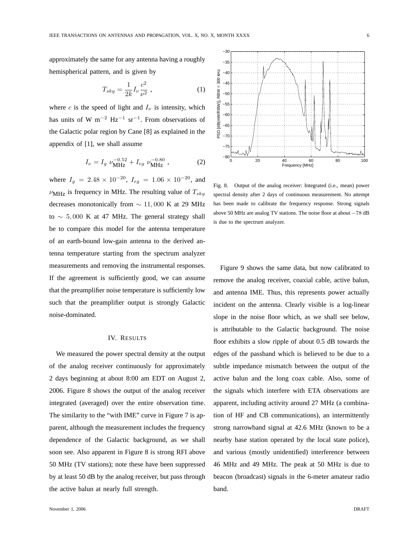approximately the same for any antenna having a roughly hemispherical pattern, and is given by

$$
T_{sky} = \frac{1}{2k} I_{\nu} \frac{c^2}{\nu^2} \,, \tag{1}
$$

where c is the speed of light and  $I_{\nu}$  is intensity, which has units of W m<sup>-2</sup> Hz<sup>-1</sup> sr<sup>-1</sup>. From observations of the Galactic polar region by Cane [8] as explained in the appendix of [1], we shall assume

$$
I_{\nu} = I_g \nu_{\text{MHz}}^{-0.52} + I_{eg} \nu_{\text{MHz}}^{-0.80} , \qquad (2)
$$

where  $I_g = 2.48 \times 10^{-20}$ ,  $I_{eg} = 1.06 \times 10^{-20}$ , and  $\nu_{\text{MHz}}$  is frequency in MHz. The resulting value of  $T_{sky}$ decreases monotonically from  $\sim$  11,000 K at 29 MHz to  $\sim$  5,000 K at 47 MHz. The general strategy shall be to compare this model for the antenna temperature of an earth-bound low-gain antenna to the derived antenna temperature starting from the spectrum analyzer measurements and removing the instrumental responses. If the agreement is sufficiently good, we can assume that the preamplifier noise temperature is sufficiently low such that the preamplifier output is strongly Galactic noise-dominated.

# IV. RESULTS

We measured the power spectral density at the output of the analog receiver continuously for approximately 2 days beginning at about 8:00 am EDT on August 2, 2006. Figure 8 shows the output of the analog receiver integrated (averaged) over the entire observation time. The similarity to the "with IME" curve in Figure 7 is apparent, although the measurement includes the frequency dependence of the Galactic background, as we shall soon see. Also apparent in Figure 8 is strong RFI above 50 MHz (TV stations); note these have been suppressed by at least 50 dB by the analog receiver, but pass through the active balun at nearly full strength.



Fig. 8. Output of the analog receiver: Integrated (i.e., mean) power spectral density after 2 days of continuous measurement. No attempt has been made to calibrate the frequency response. Strong signals above 50 MHz are analog TV stations. The noise floor at about −78 dB is due to the spectrum analyzer.

Figure 9 shows the same data, but now calibrated to remove the analog receiver, coaxial cable, active balun, and antenna IME. Thus, this represents power actually incident on the antenna. Clearly visible is a log-linear slope in the noise floor which, as we shall see below, is attributable to the Galactic background. The noise floor exhibits a slow ripple of about 0.5 dB towards the edges of the passband which is believed to be due to a subtle impedance mismatch between the output of the active balun and the long coax cable. Also, some of the signals which interfere with ETA observations are apparent, including activity around 27 MHz (a combination of HF and CB communications), an intermittently strong narrowband signal at 42.6 MHz (known to be a nearby base station operated by the local state police), and various (mostly unidentified) interference between 46 MHz and 49 MHz. The peak at 50 MHz is due to beacon (broadcast) signals in the 6-meter amateur radio band.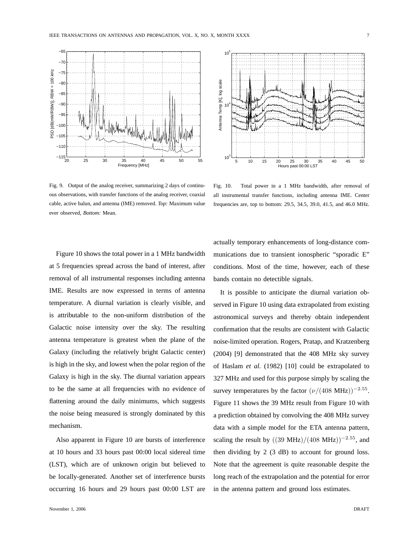

Fig. 9. Output of the analog receiver, summarizing 2 days of continuous observations, with transfer functions of the analog receiver, coaxial cable, active balun, and antenna (IME) removed. *Top:* Maximum value ever observed, *Bottom:* Mean.



Fig. 10. Total power in a 1 MHz bandwidth, after removal of all instrumental transfer functions, including antenna IME. Center frequencies are, top to bottom: 29.5, 34.5, 39.0, 41.5, and 46.0 MHz.

Figure 10 shows the total power in a 1 MHz bandwidth at 5 frequencies spread across the band of interest, after removal of all instrumental responses including antenna IME. Results are now expressed in terms of antenna temperature. A diurnal variation is clearly visible, and is attributable to the non-uniform distribution of the Galactic noise intensity over the sky. The resulting antenna temperature is greatest when the plane of the Galaxy (including the relatively bright Galactic center) is high in the sky, and lowest when the polar region of the Galaxy is high in the sky. The diurnal variation appears to be the same at all frequencies with no evidence of flattening around the daily minimums, which suggests the noise being measured is strongly dominated by this mechanism.

Also apparent in Figure 10 are bursts of interference at 10 hours and 33 hours past 00:00 local sidereal time (LST), which are of unknown origin but believed to be locally-generated. Another set of interference bursts occurring 16 hours and 29 hours past 00:00 LST are

November 1, 2006 DRAFT

actually temporary enhancements of long-distance communications due to transient ionospheric "sporadic E" conditions. Most of the time, however, each of these bands contain no detectible signals.

It is possible to anticipate the diurnal variation observed in Figure 10 using data extrapolated from existing astronomical surveys and thereby obtain independent confirmation that the results are consistent with Galactic noise-limited operation. Rogers, Pratap, and Kratzenberg (2004) [9] demonstrated that the 408 MHz sky survey of Haslam *et al.* (1982) [10] could be extrapolated to 327 MHz and used for this purpose simply by scaling the survey temperatures by the factor  $(\nu/(408 \text{ MHz}))^{-2.55}$ . Figure 11 shows the 39 MHz result from Figure 10 with a prediction obtained by convolving the 408 MHz survey data with a simple model for the ETA antenna pattern, scaling the result by  $((39 \text{ MHz})/(408 \text{ MHz}))^{-2.55}$ , and then dividing by 2 (3 dB) to account for ground loss. Note that the agreement is quite reasonable despite the long reach of the extrapolation and the potential for error in the antenna pattern and ground loss estimates.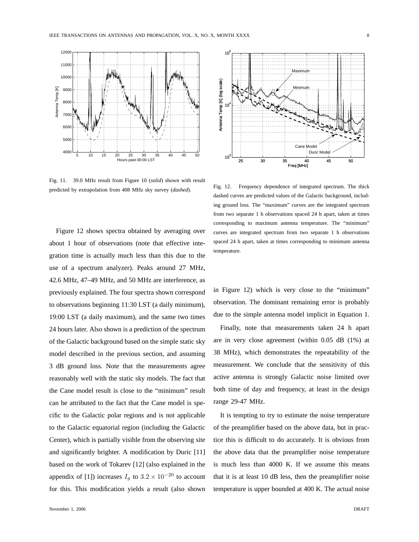

Fig. 11. 39.0 MHz result from Figure 10 (*solid*) shown with result predicted by extrapolation from 408 MHz sky survey (*dashed*).

Figure 12 shows spectra obtained by averaging over about 1 hour of observations (note that effective integration time is actually much less than this due to the use of a spectrum analyzer). Peaks around 27 MHz, 42.6 MHz, 47–49 MHz, and 50 MHz are interference, as previously explained. The four spectra shown correspond to observations beginning 11:30 LST (a daily minimum), 19:00 LST (a daily maximum), and the same two times 24 hours later. Also shown is a prediction of the spectrum of the Galactic background based on the simple static sky model described in the previous section, and assuming 3 dB ground loss. Note that the measurements agree reasonably well with the static sky models. The fact that the Cane model result is close to the "minimum" result can be attributed to the fact that the Cane model is specific to the Galactic polar regions and is not applicable to the Galactic equatorial region (including the Galactic Center), which is partially visible from the observing site and significantly brighter. A modification by Duric [11] based on the work of Tokarev [12] (also explained in the appendix of [1]) increases  $I<sub>g</sub>$  to 3.2 × 10<sup>-20</sup> to account for this. This modification yields a result (also shown



Fig. 12. Frequency dependence of integrated spectrum. The thick dashed curves are predicted values of the Galactic background, including ground loss. The "maximum" curves are the integrated spectrum from two separate 1 h observations spaced 24 h apart, taken at times corresponding to maximum antenna temperature. The "minimum" curves are integrated spectrum from two separate 1 h observations spaced 24 h apart, taken at times corresponding to minimum antenna temperature.

in Figure 12) which is very close to the "minimum" observation. The dominant remaining error is probably due to the simple antenna model implicit in Equation 1.

Finally, note that measurements taken 24 h apart are in very close agreement (within 0.05 dB (1%) at 38 MHz), which demonstrates the repeatability of the measurement. We conclude that the sensitivity of this active antenna is strongly Galactic noise limited over both time of day and frequency, at least in the design range 29-47 MHz.

It is tempting to try to estimate the noise temperature of the preamplifier based on the above data, but in practice this is difficult to do accurately. It is obvious from the above data that the preamplifier noise temperature is much less than 4000 K. If we assume this means that it is at least 10 dB less, then the preamplifier noise temperature is upper bounded at 400 K. The actual noise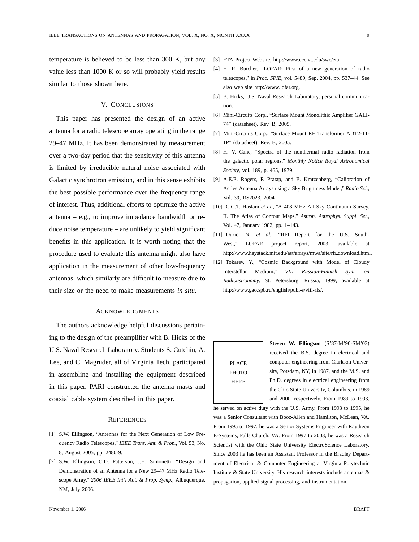temperature is believed to be less than 300 K, but any value less than 1000 K or so will probably yield results similar to those shown here.

# V. CONCLUSIONS

This paper has presented the design of an active antenna for a radio telescope array operating in the range 29–47 MHz. It has been demonstrated by measurement over a two-day period that the sensitivity of this antenna is limited by irreducible natural noise associated with Galactic synchrotron emission, and in this sense exhibits the best possible performance over the frequency range of interest. Thus, additional efforts to optimize the active antenna – e.g., to improve impedance bandwidth or reduce noise temperature – are unlikely to yield significant benefits in this application. It is worth noting that the procedure used to evaluate this antenna might also have application in the measurement of other low-frequency antennas, which similarly are difficult to measure due to their size or the need to make measurements *in situ*.

## ACKNOWLEDGMENTS

The authors acknowledge helpful discussions pertaining to the design of the preamplifier with B. Hicks of the U.S. Naval Research Laboratory. Students S. Cutchin, A. Lee, and C. Magruder, all of Virginia Tech, participated in assembling and installing the equipment described in this paper. PARI constructed the antenna masts and coaxial cable system described in this paper.

#### **REFERENCES**

- [1] S.W. Ellingson, "Antennas for the Next Generation of Low Frequency Radio Telescopes," *IEEE Trans. Ant. & Prop.*, Vol. 53, No. 8, August 2005, pp. 2480-9.
- [2] S.W. Ellingson, C.D. Patterson, J.H. Simonetti, "Design and Demonstration of an Antenna for a New 29–47 MHz Radio Telescope Array," *2006 IEEE Int'l Ant. & Prop. Symp.*, Albuquerque, NM, July 2006.
- [4] H. R. Butcher, "LOFAR: First of a new generation of radio telescopes," in *Proc. SPIE*, vol. 5489, Sep. 2004, pp. 537–44. See also web site http://www.lofar.org.
- [5] B. Hicks, U.S. Naval Research Laboratory, personal communication.
- [6] Mini-Circuits Corp., "Surface Mount Monolithic Amplifier GALI-74" (datasheet), Rev. B, 2005.
- [7] Mini-Circuits Corp., "Surface Mount RF Transformer ADT2-1T-1P" (datasheet), Rev. B, 2005.
- [8] H. V. Cane, "Spectra of the nonthermal radio radiation from the galactic polar regions," *Monthly Notice Royal Astronomical Society*, vol. 189, p. 465, 1979.
- [9] A.E.E. Rogers, P. Pratap, and E. Kratzenberg, "Calibration of Active Antenna Arrays using a Sky Brightness Model," *Radio Sci.*, Vol. 39, RS2023, 2004.
- [10] C.G.T. Haslam *et al.*, "A 408 MHz All-Sky Continuum Survey. II. The Atlas of Contour Maps," *Astron. Astrophys. Suppl. Ser.*, Vol. 47, January 1982, pp. 1–143.
- [11] Duric, N. *et al.*, "RFI Report for the U.S. South-West," LOFAR project report, 2003, available at http://www.haystack.mit.edu/ast/arrays/mwa/site/rfi download.html.
- [12] Tokarev, Y., "Cosmic Background with Model of Cloudy Interstellar Medium," *VIII Russian-Finnish Sym. on Radioastronomy*, St. Petersburg, Russia, 1999, available at http://www.gao.spb.ru/english/publ-s/viii-rfs/.

# PLACE **PHOTO** HERE

**Steven W. Ellingson** (S'87-M'90-SM'03) received the B.S. degree in electrical and computer engineering from Clarkson University, Potsdam, NY, in 1987, and the M.S. and Ph.D. degrees in electrical engineering from the Ohio State University, Columbus, in 1989 and 2000, respectively. From 1989 to 1993,

he served on active duty with the U.S. Army. From 1993 to 1995, he was a Senior Consultant with Booz-Allen and Hamilton, McLean, VA. From 1995 to 1997, he was a Senior Systems Engineer with Raytheon E-Systems, Falls Church, VA. From 1997 to 2003, he was a Research Scientist with the Ohio State University ElectroScience Laboratory. Since 2003 he has been an Assistant Professor in the Bradley Department of Electrical & Computer Engineering at Virginia Polytechnic Institute & State University. His research interests include antennas & propagation, applied signal processing, and instrumentation.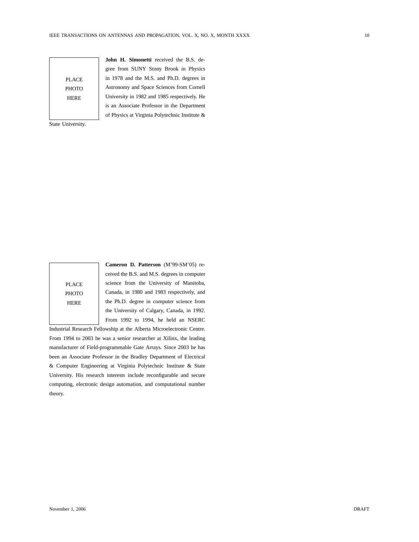PLACE PHOTO HERE

**John H. Simonetti** received the B.S. degree from SUNY Stony Brook in Physics in 1978 and the M.S. and Ph.D. degrees in Astronomy and Space Sciences from Cornell University in 1982 and 1985 respectively. He is an Associate Professor in the Department of Physics at Virginia Polytechnic Institute &

State University.

PLACE PHOTO HERE

**Cameron D. Patterson** (M'99-SM'05) received the B.S. and M.S. degrees in computer science from the University of Manitoba, Canada, in 1980 and 1983 respectively, and the Ph.D. degree in computer science from the University of Calgary, Canada, in 1992. From 1992 to 1994, he held an NSERC

Industrial Research Fellowship at the Alberta Microelectronic Centre. From 1994 to 2003 he was a senior researcher at Xilinx, the leading manufacturer of Field-programmable Gate Arrays. Since 2003 he has been an Associate Professor in the Bradley Department of Electrical & Computer Engineering at Virginia Polytechnic Institute & State University. His research interests include reconfigurable and secure computing, electronic design automation, and computational number theory.